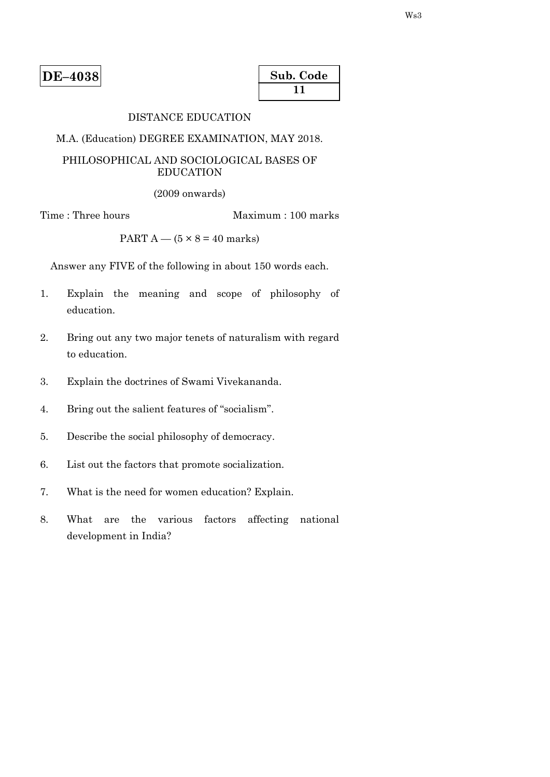| $DE-4038$ |
|-----------|
|-----------|

| Sub. Code |  |
|-----------|--|
| 1 L       |  |

# DISTANCE EDUCATION

M.A. (Education) DEGREE EXAMINATION, MAY 2018.

## PHILOSOPHICAL AND SOCIOLOGICAL BASES OF EDUCATION

(2009 onwards)

Time : Three hours Maximum : 100 marks

PART  $A - (5 \times 8 = 40$  marks)

Answer any FIVE of the following in about 150 words each.

- 1. Explain the meaning and scope of philosophy of education.
- 2. Bring out any two major tenets of naturalism with regard to education.
- 3. Explain the doctrines of Swami Vivekananda.
- 4. Bring out the salient features of "socialism".
- 5. Describe the social philosophy of democracy.
- 6. List out the factors that promote socialization.
- 7. What is the need for women education? Explain.
- 8. What are the various factors affecting national development in India?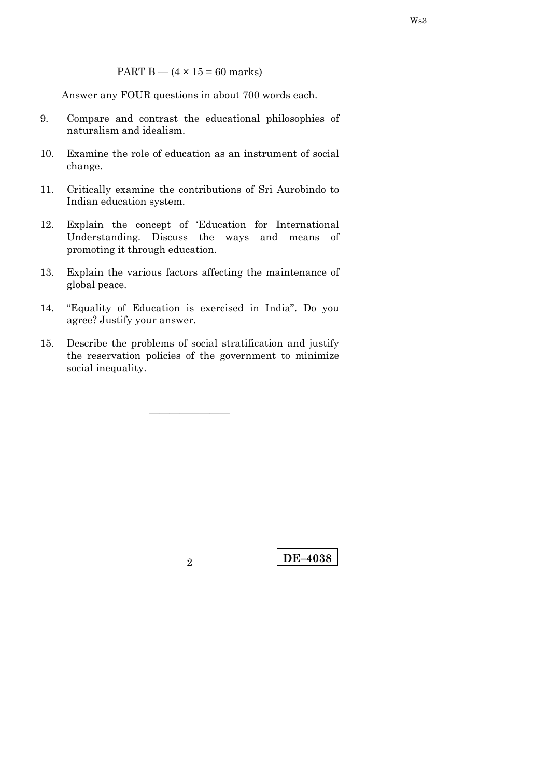PART B  $-$  (4  $\times$  15 = 60 marks)

Answer any FOUR questions in about 700 words each.

- 9. Compare and contrast the educational philosophies of naturalism and idealism.
- 10. Examine the role of education as an instrument of social change.
- 11. Critically examine the contributions of Sri Aurobindo to Indian education system.
- 12. Explain the concept of 'Education for International Understanding. Discuss the ways and means of promoting it through education.
- 13. Explain the various factors affecting the maintenance of global peace.
- 14. "Equality of Education is exercised in India". Do you agree? Justify your answer.
- 15. Describe the problems of social stratification and justify the reservation policies of the government to minimize social inequality.

————————

**DE–4038** <sup>2</sup>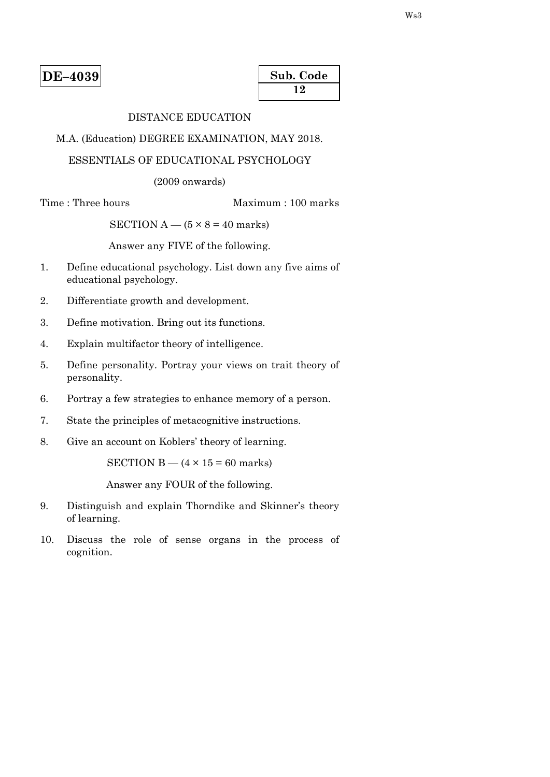| Sub. Code |  |
|-----------|--|
| 12        |  |

# DISTANCE EDUCATION

M.A. (Education) DEGREE EXAMINATION, MAY 2018.

# ESSENTIALS OF EDUCATIONAL PSYCHOLOGY

(2009 onwards)

Time : Three hours Maximum : 100 marks

SECTION  $A - (5 \times 8 = 40$  marks)

Answer any FIVE of the following.

- 1. Define educational psychology. List down any five aims of educational psychology.
- 2. Differentiate growth and development.
- 3. Define motivation. Bring out its functions.
- 4. Explain multifactor theory of intelligence.
- 5. Define personality. Portray your views on trait theory of personality.
- 6. Portray a few strategies to enhance memory of a person.
- 7. State the principles of metacognitive instructions.
- 8. Give an account on Koblers' theory of learning.

SECTION B —  $(4 \times 15 = 60$  marks)

Answer any FOUR of the following.

- 9. Distinguish and explain Thorndike and Skinner's theory of learning.
- 10. Discuss the role of sense organs in the process of cognition.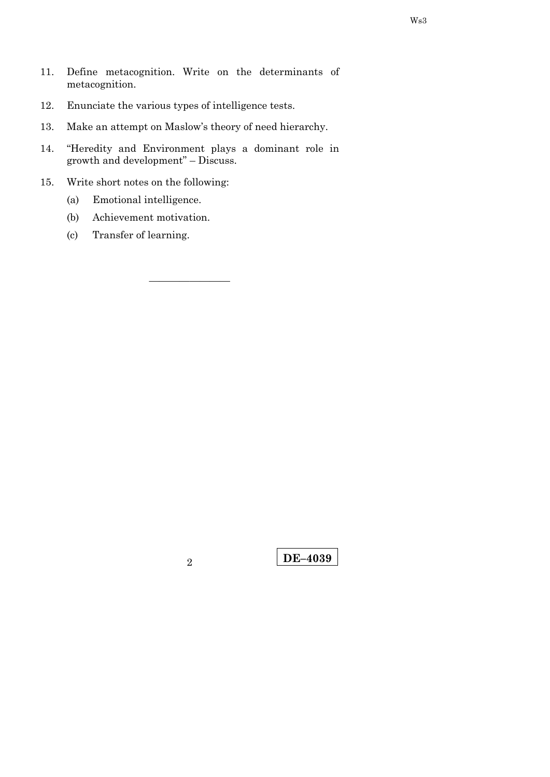- 11. Define metacognition. Write on the determinants of metacognition.
- 12. Enunciate the various types of intelligence tests.
- 13. Make an attempt on Maslow's theory of need hierarchy.
- 14. "Heredity and Environment plays a dominant role in growth and development" – Discuss.

- 15. Write short notes on the following:
	- (a) Emotional intelligence.
	- (b) Achievement motivation.
	- (c) Transfer of learning.

**DE–4039** <sup>2</sup>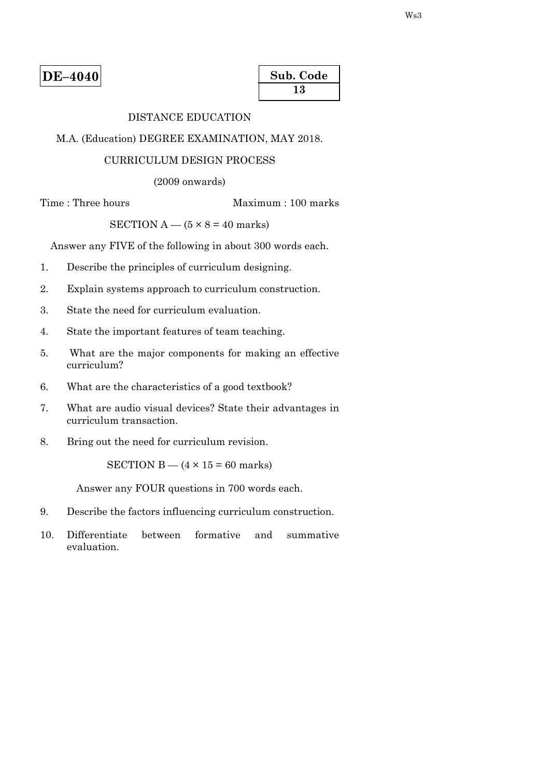| Sub. Code |  |
|-----------|--|
| 13        |  |

# DISTANCE EDUCATION

M.A. (Education) DEGREE EXAMINATION, MAY 2018.

#### CURRICULUM DESIGN PROCESS

(2009 onwards)

Time : Three hours Maximum : 100 marks

SECTION  $A - (5 \times 8 = 40$  marks)

Answer any FIVE of the following in about 300 words each.

- 1. Describe the principles of curriculum designing.
- 2. Explain systems approach to curriculum construction.
- 3. State the need for curriculum evaluation.
- 4. State the important features of team teaching.
- 5. What are the major components for making an effective curriculum?
- 6. What are the characteristics of a good textbook?
- 7. What are audio visual devices? State their advantages in curriculum transaction.
- 8. Bring out the need for curriculum revision.

SECTION B  $-$  (4  $\times$  15 = 60 marks)

Answer any FOUR questions in 700 words each.

- 9. Describe the factors influencing curriculum construction.
- 10. Differentiate between formative and summative evaluation.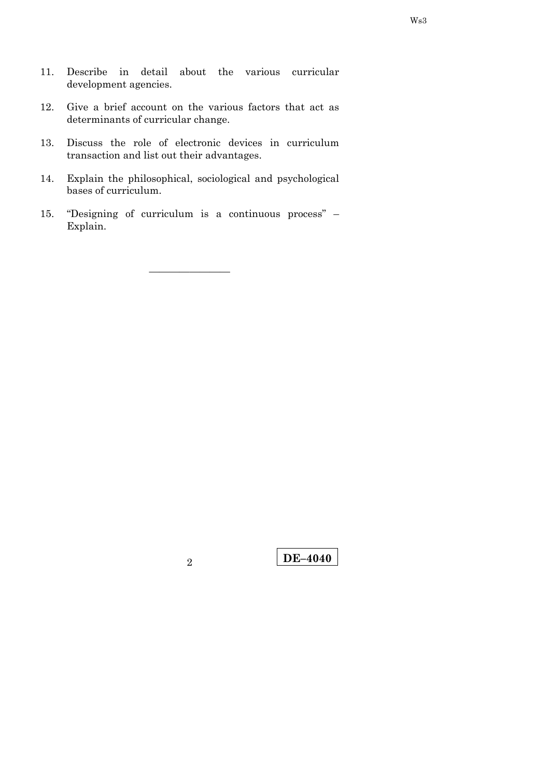- 11. Describe in detail about the various curricular development agencies.
- 12. Give a brief account on the various factors that act as determinants of curricular change.
- 13. Discuss the role of electronic devices in curriculum transaction and list out their advantages.
- 14. Explain the philosophical, sociological and psychological bases of curriculum.
- 15. "Designing of curriculum is a continuous process" Explain.

**DE–4040** <sup>2</sup>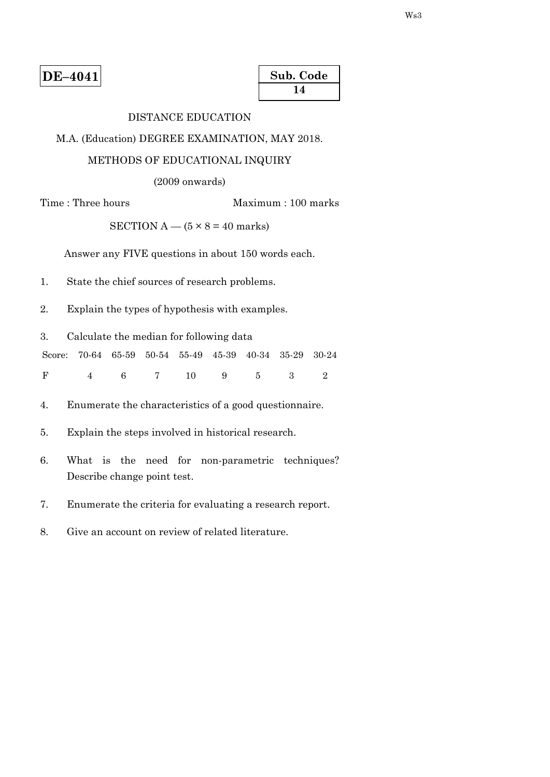| Sub. Code |  |
|-----------|--|
| 14        |  |

# DISTANCE EDUCATION

M.A. (Education) DEGREE EXAMINATION, MAY 2018.

# METHODS OF EDUCATIONAL INQUIRY

(2009 onwards)

Time : Three hours Maximum : 100 marks

SECTION  $A - (5 \times 8 = 40$  marks)

Answer any FIVE questions in about 150 words each.

- 1. State the chief sources of research problems.
- 2. Explain the types of hypothesis with examples.
- 3. Calculate the median for following data

Score: 70-64 65-59 50-54 55-49 45-39 40-34 35-29 30-24

F 4 6 7 10 9 5 3 2

- 4. Enumerate the characteristics of a good questionnaire.
- 5. Explain the steps involved in historical research.
- 6. What is the need for non-parametric techniques? Describe change point test.
- 7. Enumerate the criteria for evaluating a research report.
- 8. Give an account on review of related literature.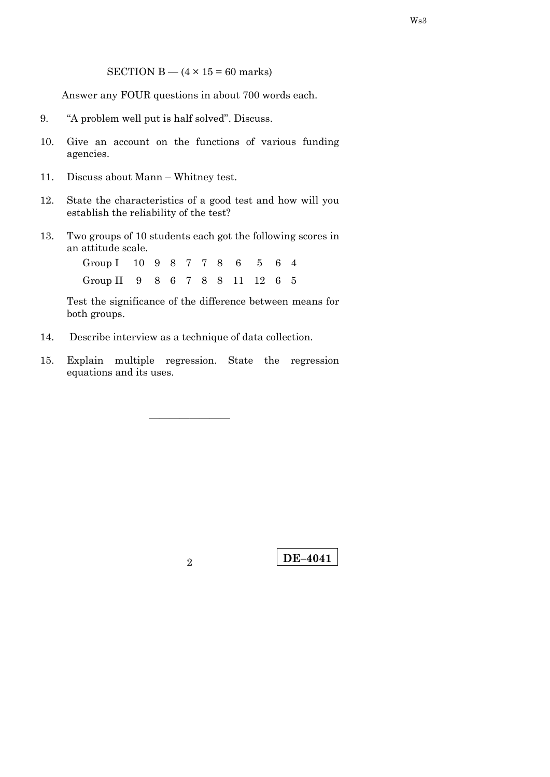SECTION B  $-$  (4  $\times$  15 = 60 marks)

Answer any FOUR questions in about 700 words each.

- 9. "A problem well put is half solved". Discuss.
- 10. Give an account on the functions of various funding agencies.
- 11. Discuss about Mann Whitney test.
- 12. State the characteristics of a good test and how will you establish the reliability of the test?
- 13. Two groups of 10 students each got the following scores in an attitude scale.

Group I 10 9 8 7 7 8 6 5 6 4 Group II 9 8 6 7 8 8 11 12 6 5

 Test the significance of the difference between means for both groups.

- 14. Describe interview as a technique of data collection.
- 15. Explain multiple regression. State the regression equations and its uses.

————————

2 **DE–4041**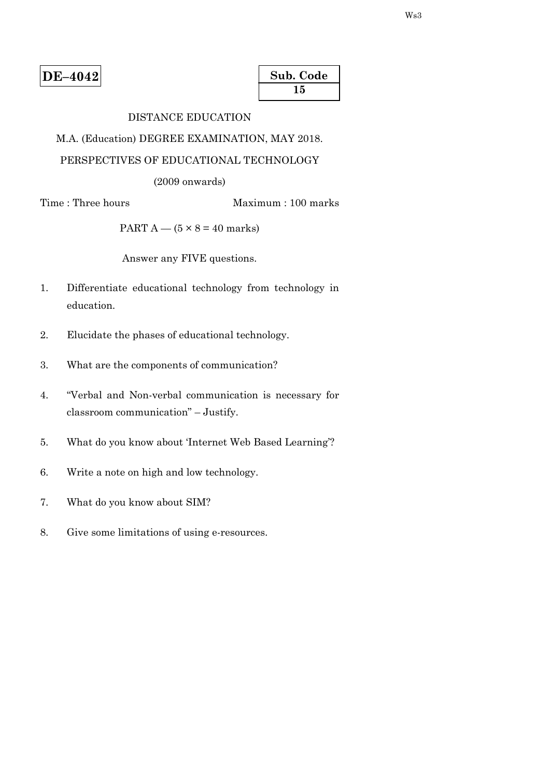| Sub. Code |  |
|-----------|--|
| 15        |  |

# DISTANCE EDUCATION

M.A. (Education) DEGREE EXAMINATION, MAY 2018.

# PERSPECTIVES OF EDUCATIONAL TECHNOLOGY

(2009 onwards)

# Time : Three hours Maximum : 100 marks

PART  $A - (5 \times 8 = 40$  marks)

Answer any FIVE questions.

- 1. Differentiate educational technology from technology in education.
- 2. Elucidate the phases of educational technology.
- 3. What are the components of communication?
- 4. "Verbal and Non-verbal communication is necessary for classroom communication" – Justify.
- 5. What do you know about 'Internet Web Based Learning'?
- 6. Write a note on high and low technology.
- 7. What do you know about SIM?
- 8. Give some limitations of using e-resources.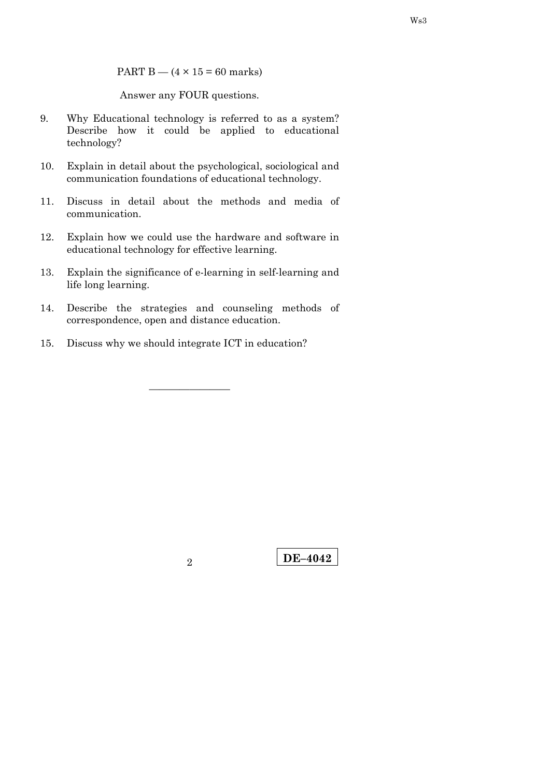PART B  $-$  (4  $\times$  15 = 60 marks)

Answer any FOUR questions.

- 9. Why Educational technology is referred to as a system? Describe how it could be applied to educational technology?
- 10. Explain in detail about the psychological, sociological and communication foundations of educational technology.
- 11. Discuss in detail about the methods and media of communication.
- 12. Explain how we could use the hardware and software in educational technology for effective learning.
- 13. Explain the significance of e-learning in self-learning and life long learning.
- 14. Describe the strategies and counseling methods of correspondence, open and distance education.

————————

15. Discuss why we should integrate ICT in education?

**DE–4042** <sup>2</sup>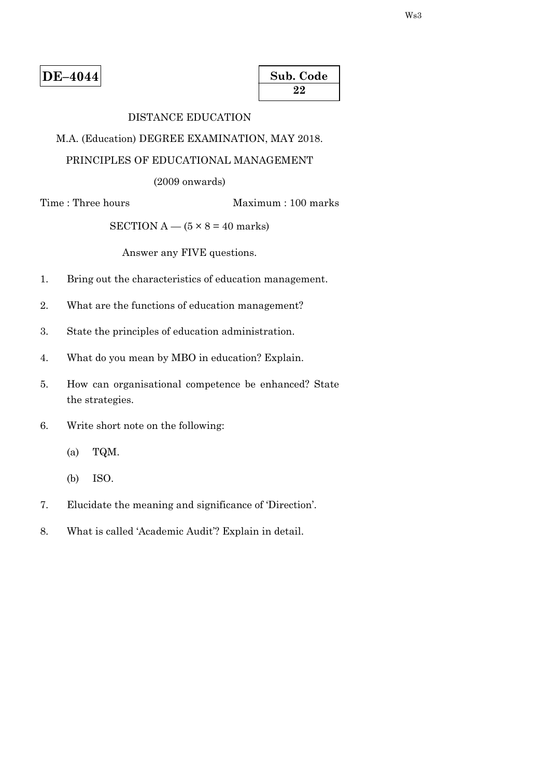| Sub. Code |  |
|-----------|--|
| 22        |  |

# DISTANCE EDUCATION

M.A. (Education) DEGREE EXAMINATION, MAY 2018.

# PRINCIPLES OF EDUCATIONAL MANAGEMENT

(2009 onwards)

Time : Three hours Maximum : 100 marks

SECTION  $A - (5 \times 8 = 40$  marks)

Answer any FIVE questions.

- 1. Bring out the characteristics of education management.
- 2. What are the functions of education management?
- 3. State the principles of education administration.
- 4. What do you mean by MBO in education? Explain.
- 5. How can organisational competence be enhanced? State the strategies.
- 6. Write short note on the following:
	- (a) TQM.
	- (b) ISO.
- 7. Elucidate the meaning and significance of 'Direction'.
- 8. What is called 'Academic Audit'? Explain in detail.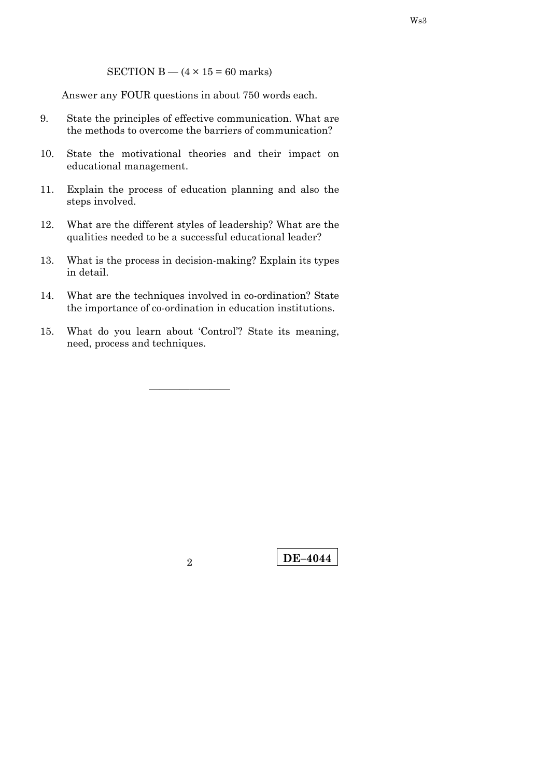SECTION B  $-$  (4  $\times$  15 = 60 marks)

Answer any FOUR questions in about 750 words each.

- 9. State the principles of effective communication. What are the methods to overcome the barriers of communication?
- 10. State the motivational theories and their impact on educational management.
- 11. Explain the process of education planning and also the steps involved.
- 12. What are the different styles of leadership? What are the qualities needed to be a successful educational leader?
- 13. What is the process in decision-making? Explain its types in detail.
- 14. What are the techniques involved in co-ordination? State the importance of co-ordination in education institutions.
- 15. What do you learn about 'Control'? State its meaning, need, process and techniques.

————————

Ws3

**DE–4044** <sup>2</sup>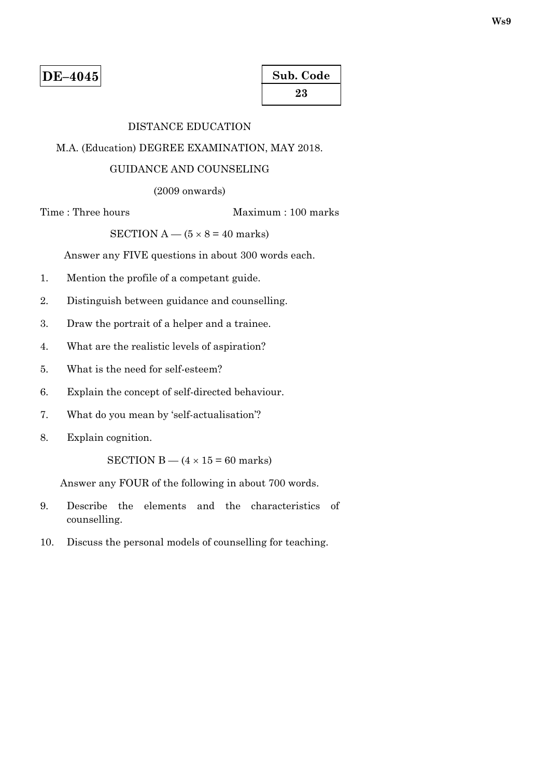# DISTANCE EDUCATION

### M.A. (Education) DEGREE EXAMINATION, MAY 2018.

# GUIDANCE AND COUNSELING

(2009 onwards)

Time : Three hours Maximum : 100 marks

SECTION  $A - (5 \times 8 = 40$  marks)

Answer any FIVE questions in about 300 words each.

- 1. Mention the profile of a competant guide.
- 2. Distinguish between guidance and counselling.
- 3. Draw the portrait of a helper and a trainee.
- 4. What are the realistic levels of aspiration?
- 5. What is the need for self-esteem?
- 6. Explain the concept of self-directed behaviour.
- 7. What do you mean by 'self-actualisation'?
- 8. Explain cognition.

SECTION B —  $(4 \times 15 = 60$  marks)

Answer any FOUR of the following in about 700 words.

- 9. Describe the elements and the characteristics of counselling.
- 10. Discuss the personal models of counselling for teaching.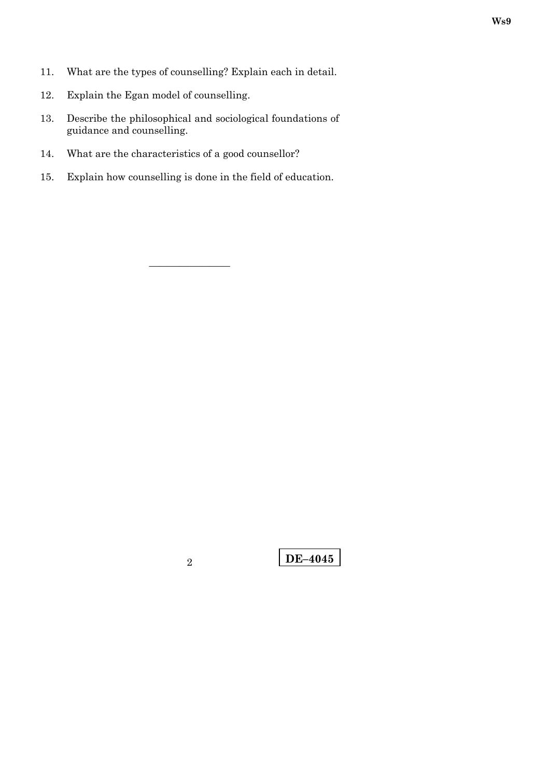- 11. What are the types of counselling? Explain each in detail.
- 12. Explain the Egan model of counselling.
- 13. Describe the philosophical and sociological foundations of guidance and counselling.
- 14. What are the characteristics of a good counsellor?
- 15. Explain how counselling is done in the field of education.

**Ws9**

**DE–4045** 2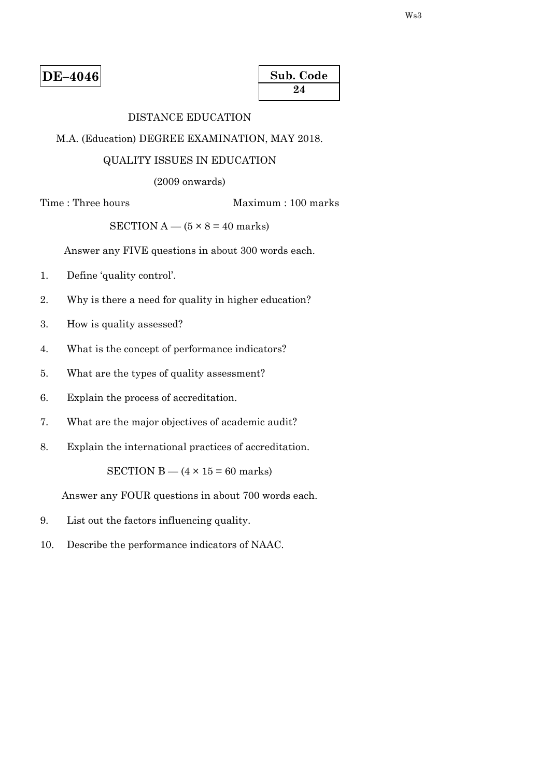| Sub. Code |  |
|-----------|--|
| 24        |  |

# DISTANCE EDUCATION

M.A. (Education) DEGREE EXAMINATION, MAY 2018.

#### QUALITY ISSUES IN EDUCATION

(2009 onwards)

Time : Three hours Maximum : 100 marks

SECTION  $A - (5 \times 8 = 40$  marks)

Answer any FIVE questions in about 300 words each.

- 1. Define 'quality control'.
- 2. Why is there a need for quality in higher education?
- 3. How is quality assessed?
- 4. What is the concept of performance indicators?
- 5. What are the types of quality assessment?
- 6. Explain the process of accreditation.
- 7. What are the major objectives of academic audit?
- 8. Explain the international practices of accreditation.

SECTION B  $-$  (4  $\times$  15 = 60 marks)

Answer any FOUR questions in about 700 words each.

- 9. List out the factors influencing quality.
- 10. Describe the performance indicators of NAAC.